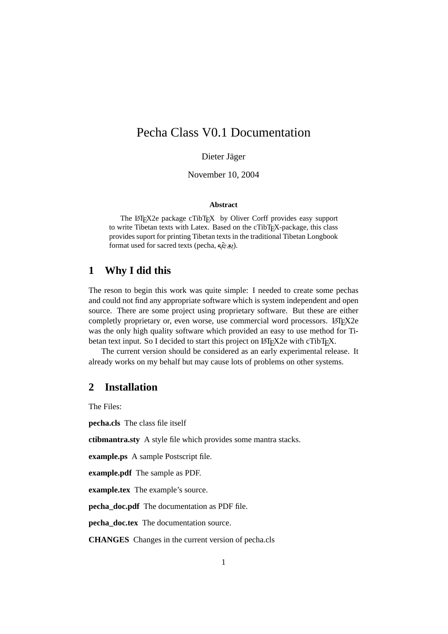# Pecha Class V0.1 Documentation

Dieter Jäger

November 10, 2004

#### **Abstract**

The LATEX2e package cTibTEX by Oliver Corff provides easy support to write Tibetan texts with Latex. Based on the cTibT<sub>E</sub>X-package, this class provides suport for printing Tibetan texts in the traditional Tibetan Longbook format used for sacred texts (pecha,  $\overline{\varsigma}$  $\overline{\varsigma}$ ).

#### **1 Why I did this**

The reson to begin this work was quite simple: I needed to create some pechas and could not find any appropriate software which is system independent and open source. There are some project using proprietary software. But these are either completly proprietary or, even worse, use commercial word processors. LATEX2e was the only high quality software which provided an easy to use method for Tibetan text input. So I decided to start this project on LATEX2e with cTibTEX.

The current version should be considered as an early experimental release. It already works on my behalf but may cause lots of problems on other systems.

### **2 Installation**

The Files:

**pecha.cls** The class file itself

**ctibmantra.sty** A style file which provides some mantra stacks.

**example.ps** A sample Postscript file.

**example.pdf** The sample as PDF.

**example.tex** The example's source.

**pecha\_doc.pdf** The documentation as PDF file.

**pecha\_doc.tex** The documentation source.

**CHANGES** Changes in the current version of pecha.cls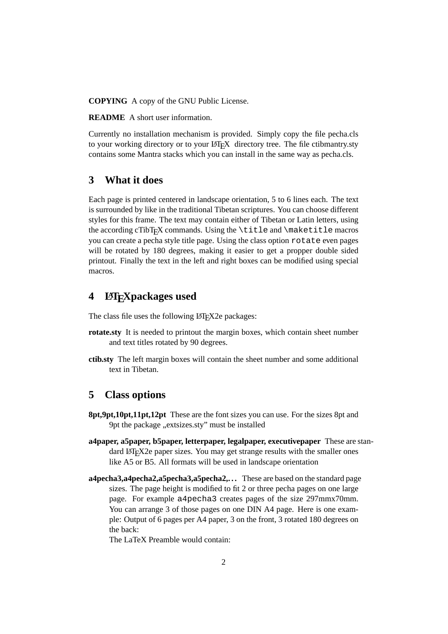**COPYING** A copy of the GNU Public License.

**README** A short user information.

Currently no installation mechanism is provided. Simply copy the file pecha.cls to your working directory or to your LATEX directory tree. The file ctibmantry.sty contains some Mantra stacks which you can install in the same way as pecha.cls.

### **3 What it does**

Each page is printed centered in landscape orientation, 5 to 6 lines each. The text is surrounded by like in the traditional Tibetan scriptures. You can choose different styles for this frame. The text may contain either of Tibetan or Latin letters, using the according c $TibTeX$  commands. Using the \title and \maketitle macros you can create a pecha style title page. Using the class option rotate even pages will be rotated by 180 degrees, making it easier to get a propper double sided printout. Finally the text in the left and right boxes can be modified using special macros.

### **4 LATEXpackages used**

The class file uses the following LAT<sub>E</sub>X2e packages:

- **rotate.sty** It is needed to printout the margin boxes, which contain sheet number and text titles rotated by 90 degrees.
- **ctib.sty** The left margin boxes will contain the sheet number and some additional text in Tibetan.

#### **5 Class options**

- **8pt,9pt,10pt,11pt,12pt** These are the font sizes you can use. For the sizes 8pt and 9pt the package "extsizes.sty" must be installed
- **a4paper, a5paper, b5paper, letterpaper, legalpaper, executivepaper** These are standard LAT<sub>EX2</sub> paper sizes. You may get strange results with the smaller ones like A5 or B5. All formats will be used in landscape orientation
- **a4pecha3,a4pecha2,a5pecha3,a5pecha2,. . .** These are based on the standard page sizes. The page height is modified to fit 2 or three pecha pages on one large page. For example a4pecha3 creates pages of the size 297mmx70mm. You can arrange 3 of those pages on one DIN A4 page. Here is one example: Output of 6 pages per A4 paper, 3 on the front, 3 rotated 180 degrees on the back:

The LaTeX Preamble would contain: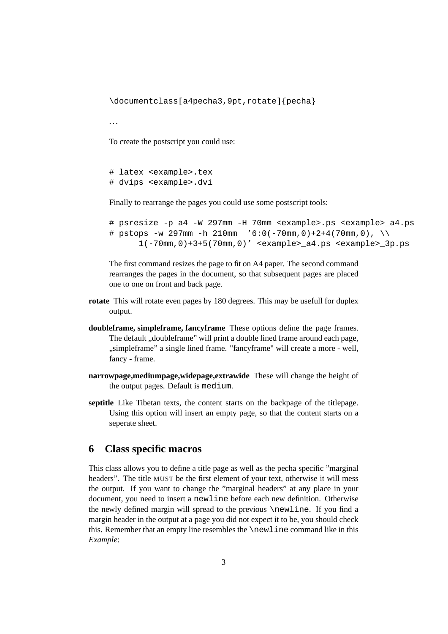\documentclass[a4pecha3,9pt,rotate]{pecha}

. . .

To create the postscript you could use:

```
# latex <example>.tex
# dvips <example>.dvi
```
Finally to rearrange the pages you could use some postscript tools:

```
# psresize -p a4 -W 297mm -H 70mm <example>.ps <example>_a4.ps
# pstops -w 297mm -h 210mm (6:0(-70)mm,0)+2+4(70mm,0),
      1(-70mm,0)+3+5(70mm,0)' <example>_a4.ps <example>_3p.ps
```
The first command resizes the page to fit on A4 paper. The second command rearranges the pages in the document, so that subsequent pages are placed one to one on front and back page.

- **rotate** This will rotate even pages by 180 degrees. This may be usefull for duplex output.
- **doubleframe, simpleframe, fancyframe** These options define the page frames. The default "doubleframe" will print a double lined frame around each page, "simpleframe" a single lined frame. "fancyframe" will create a more - well, fancy - frame.
- **narrowpage,mediumpage,widepage,extrawide** These will change the height of the output pages. Default is medium.
- **septitle** Like Tibetan texts, the content starts on the backpage of the titlepage. Using this option will insert an empty page, so that the content starts on a seperate sheet.

### **6 Class specific macros**

This class allows you to define a title page as well as the pecha specific "marginal headers". The title MUST be the first element of your text, otherwise it will mess the output. If you want to change the "marginal headers" at any place in your document, you need to insert a newline before each new definition. Otherwise the newly defined margin will spread to the previous \newline. If you find a margin header in the output at a page you did not expect it to be, you should check this. Remember that an empty line resembles the \newline command like in this *Example*: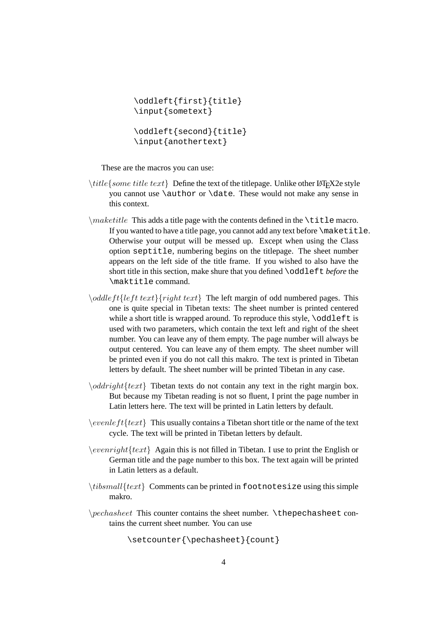```
\oddleft{first}{title}
\input{sometext}
\oddleft{second}{title}
\input{anothertext}
```
These are the macros you can use:

- $\tilde{\iota}$  title forme title text  $\}$  Define the text of the titlepage. Unlike other LATEX2e style you cannot use \author or \date. These would not make any sense in this context.
- $\mathcal{L}$  maketitle This adds a title page with the contents defined in the  $\tilde{\text{t}}$  title macro. If you wanted to have a title page, you cannot add any text before \maketitle. Otherwise your output will be messed up. Except when using the Class option septitle, numbering begins on the titlepage. The sheet number appears on the left side of the title frame. If you wished to also have the short title in this section, make shure that you defined \oddleft *before* the \maktitle command.
- $\odot$   $\odot$   $\odot$   $\odot$   $\odot$   $\odot$   $\odot$   $\odot$   $\odot$   $\odot$   $\odot$   $\odot$   $\odot$   $\odot$   $\odot$   $\odot$   $\odot$   $\odot$   $\odot$   $\odot$   $\odot$   $\odot$   $\odot$   $\odot$   $\odot$   $\odot$   $\odot$   $\odot$   $\odot$   $\odot$   $\odot$   $\odot$   $\odot$   $\odot$   $\odot$   $\odot$   $\odot$ one is quite special in Tibetan texts: The sheet number is printed centered while a short title is wrapped around. To reproduce this style,  $\odot$ ddleft is used with two parameters, which contain the text left and right of the sheet number. You can leave any of them empty. The page number will always be output centered. You can leave any of them empty. The sheet number will be printed even if you do not call this makro. The text is printed in Tibetan letters by default. The sheet number will be printed Tibetan in any case.
- $\odot$ *ddright*{text} Tibetan texts do not contain any text in the right margin box. But because my Tibetan reading is not so fluent, I print the page number in Latin letters here. The text will be printed in Latin letters by default.
- $\text{event} \setminus \text{event}$  This usually contains a Tibetan short title or the name of the text cycle. The text will be printed in Tibetan letters by default.
- $\text{event}$  $\text{text}$  Again this is not filled in Tibetan. I use to print the English or German title and the page number to this box. The text again will be printed in Latin letters as a default.
- $\{\text{test}\}\$ Comments can be printed in footnotesize using this simple makro.
- \pechasheet This counter contains the sheet number. \thepechasheet contains the current sheet number. You can use

```
\setcounter{\pechasheet}{count}
```